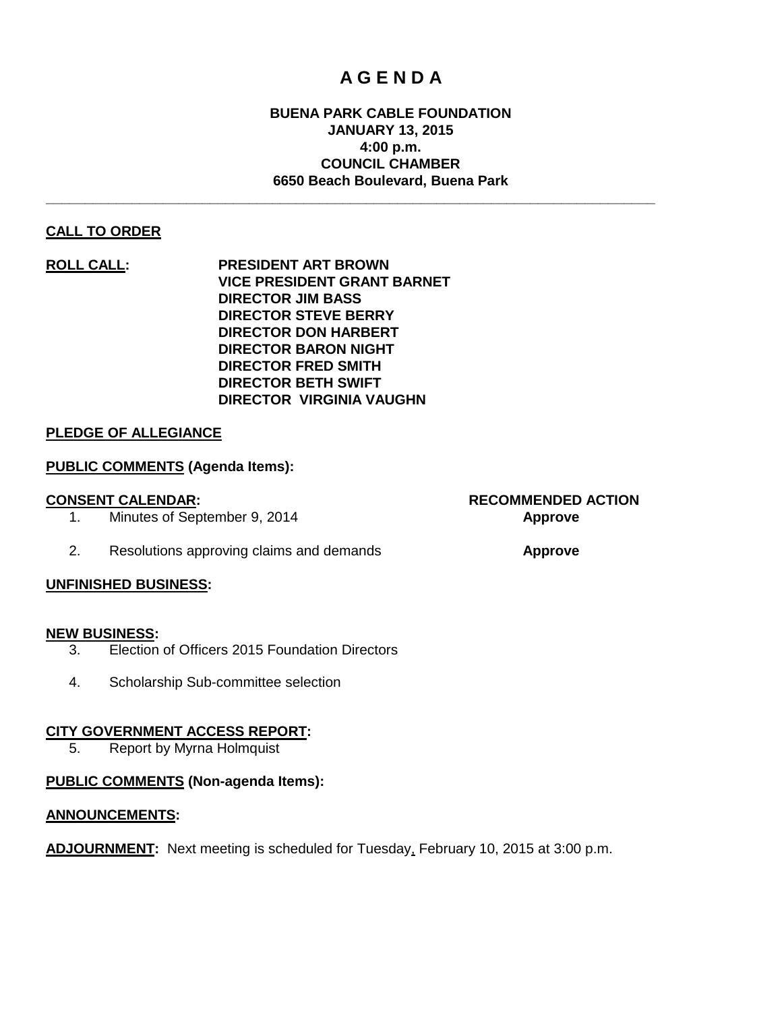## **A G E N D A**

#### **BUENA PARK CABLE FOUNDATION JANUARY 13, 2015 4:00 p.m. COUNCIL CHAMBER 6650 Beach Boulevard, Buena Park**

**\_\_\_\_\_\_\_\_\_\_\_\_\_\_\_\_\_\_\_\_\_\_\_\_\_\_\_\_\_\_\_\_\_\_\_\_\_\_\_\_\_\_\_\_\_\_\_\_\_\_\_\_\_\_\_\_\_\_\_\_\_\_\_\_\_\_\_\_\_\_\_\_\_\_\_\_\_\_**

#### **CALL TO ORDER**

**ROLL CALL: PRESIDENT ART BROWN VICE PRESIDENT GRANT BARNET DIRECTOR JIM BASS DIRECTOR STEVE BERRY DIRECTOR DON HARBERT DIRECTOR BARON NIGHT DIRECTOR FRED SMITH DIRECTOR BETH SWIFT DIRECTOR VIRGINIA VAUGHN**

#### **PLEDGE OF ALLEGIANCE**

#### **PUBLIC COMMENTS (Agenda Items):**

- 1. Minutes of September 9, 2014 **Approve**
- 2. Resolutions approving claims and demands **Approve**

#### **UNFINISHED BUSINESS:**

#### **NEW BUSINESS:**

- 3. Election of Officers 2015 Foundation Directors
- 4. Scholarship Sub-committee selection

#### **CITY GOVERNMENT ACCESS REPORT:**

5. Report by Myrna Holmquist

#### **PUBLIC COMMENTS (Non-agenda Items):**

#### **ANNOUNCEMENTS:**

**ADJOURNMENT:** Next meeting is scheduled for Tuesday, February 10, 2015 at 3:00 p.m.

**CONSENT CALENDAR: RECOMMENDED ACTION**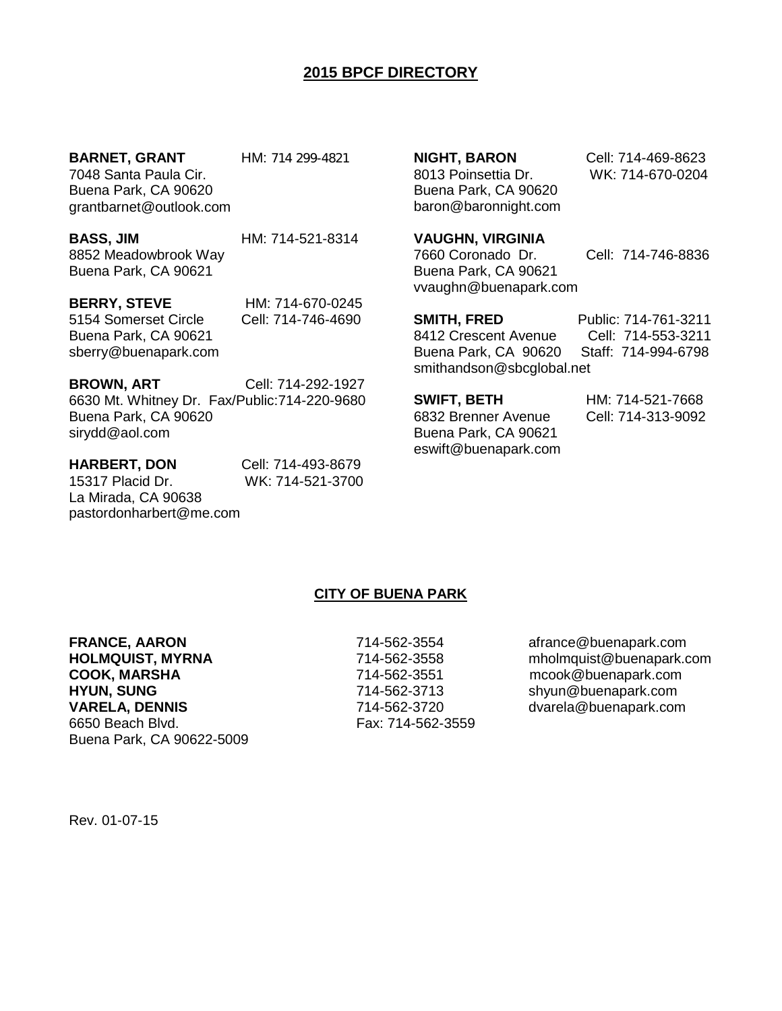### **2015 BPCF DIRECTORY**

**BARNET, GRANT** HM: 714 299-4821

7048 Santa Paula Cir. Buena Park, CA 90620 [grantbarnet@outlook.com](mailto:grantbarnet@outlook.com)

**BASS, JIM HM: 714-521-8314** 8852 Meadowbrook Way Buena Park, CA 90621

**BERRY, STEVE** HM: 714-670-0245 5154 Somerset Circle Cell: 714-746-4690 Buena Park, CA 90621 sberry@buenapark.com

**BROWN, ART** Cell: 714-292-1927

6630 Mt. Whitney Dr. Fax/Public:714-220-9680 Buena Park, CA 90620 sirydd@aol.com

**HARBERT, DON** Cell: 714-493-8679 15317 Placid Dr. WK: 714-521-3700 La Mirada, CA 90638 pastordonharbert@me.com

8013 Poinsettia Dr. WK: 714-670-0204 Buena Park, CA 90620 baron@baronnight.com

**NIGHT, BARON** Cell: 714-469-8623

#### **VAUGHN, VIRGINIA**

7660 Coronado Dr. Cell: 714-746-8836 Buena Park, CA 90621 [vvaughn@buenapark.com](mailto:vvaughn1921@gmail.com)

**SMITH, FRED** Public: 714-761-3211

8412 Crescent Avenue Cell: 714-553-3211 Buena Park, CA 90620 Staff: 714-994-6798 smithandson@sbcglobal.net

**SWIFT, BETH HM: 714-521-7668**<br>6832 Brenner Avenue **Cell: 714-313-9092** 6832 Brenner Avenue Buena Park, CA 90621 eswift@buenapark.com

#### **CITY OF BUENA PARK**

**FRANCE, AARON** 214-562-3554 afrance@buenapark.com **HYUN, SUNG** 714-562-3713 shyun@buenapark.com **VARELA, DENNIS CONSUMIS 714-562-3720** dvarela@buenapark.com 6650 Beach Blvd. Fax: 714-562-3559 Buena Park, CA 90622-5009

**HOLMQUIST, MYRNA** 714-562-3558 mholmquist@buenapark.com<br> **COOK, MARSHA** 714-562-3551 mcook@buenapark.com mcook@buenapark.com

Rev. 01-07-15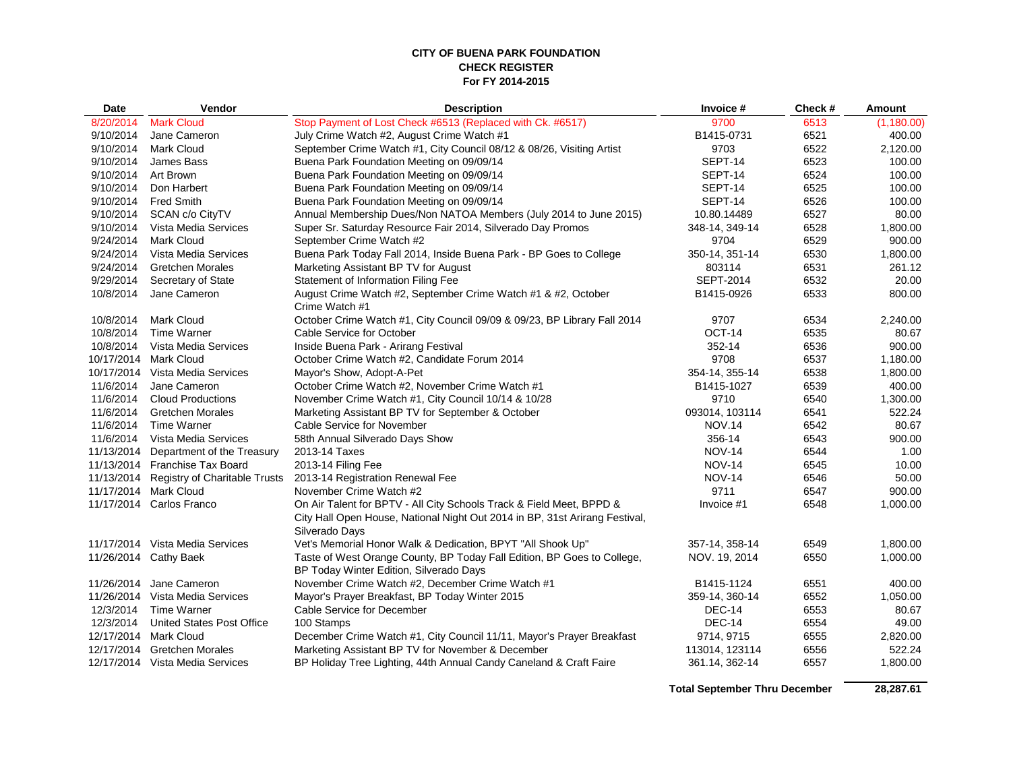#### **CITY OF BUENA PARK FOUNDATION CHECK REGISTER For FY 2014-2015**

| Date       | Vendor                           | <b>Description</b>                                                                                                                                                    | Invoice #        | Check # | Amount     |
|------------|----------------------------------|-----------------------------------------------------------------------------------------------------------------------------------------------------------------------|------------------|---------|------------|
| 8/20/2014  | <b>Mark Cloud</b>                | Stop Payment of Lost Check #6513 (Replaced with Ck. #6517)                                                                                                            | 9700             | 6513    | (1,180.00) |
| 9/10/2014  | Jane Cameron                     | July Crime Watch #2, August Crime Watch #1                                                                                                                            | B1415-0731       | 6521    | 400.00     |
| 9/10/2014  | <b>Mark Cloud</b>                | September Crime Watch #1, City Council 08/12 & 08/26, Visiting Artist                                                                                                 | 9703             | 6522    | 2,120.00   |
| 9/10/2014  | James Bass                       | Buena Park Foundation Meeting on 09/09/14                                                                                                                             | SEPT-14          | 6523    | 100.00     |
| 9/10/2014  | Art Brown                        | Buena Park Foundation Meeting on 09/09/14                                                                                                                             | SEPT-14          | 6524    | 100.00     |
| 9/10/2014  | Don Harbert                      | Buena Park Foundation Meeting on 09/09/14                                                                                                                             | SEPT-14          | 6525    | 100.00     |
| 9/10/2014  | <b>Fred Smith</b>                | Buena Park Foundation Meeting on 09/09/14                                                                                                                             | SEPT-14          | 6526    | 100.00     |
| 9/10/2014  | SCAN c/o CityTV                  | Annual Membership Dues/Non NATOA Members (July 2014 to June 2015)                                                                                                     | 10.80.14489      | 6527    | 80.00      |
| 9/10/2014  | Vista Media Services             | Super Sr. Saturday Resource Fair 2014, Silverado Day Promos                                                                                                           | 348-14, 349-14   | 6528    | 1,800.00   |
| 9/24/2014  | <b>Mark Cloud</b>                | September Crime Watch #2                                                                                                                                              | 9704             | 6529    | 900.00     |
| 9/24/2014  | Vista Media Services             | Buena Park Today Fall 2014, Inside Buena Park - BP Goes to College                                                                                                    | 350-14, 351-14   | 6530    | 1,800.00   |
| 9/24/2014  | <b>Gretchen Morales</b>          | Marketing Assistant BP TV for August                                                                                                                                  | 803114           | 6531    | 261.12     |
| 9/29/2014  | Secretary of State               | Statement of Information Filing Fee                                                                                                                                   | <b>SEPT-2014</b> | 6532    | 20.00      |
| 10/8/2014  | Jane Cameron                     | August Crime Watch #2, September Crime Watch #1 & #2, October<br>Crime Watch #1                                                                                       | B1415-0926       | 6533    | 800.00     |
| 10/8/2014  | <b>Mark Cloud</b>                | October Crime Watch #1, City Council 09/09 & 09/23, BP Library Fall 2014                                                                                              | 9707             | 6534    | 2,240.00   |
| 10/8/2014  | <b>Time Warner</b>               | Cable Service for October                                                                                                                                             | OCT-14           | 6535    | 80.67      |
| 10/8/2014  | Vista Media Services             | Inside Buena Park - Arirang Festival                                                                                                                                  | 352-14           | 6536    | 900.00     |
| 10/17/2014 | Mark Cloud                       | October Crime Watch #2, Candidate Forum 2014                                                                                                                          | 9708             | 6537    | 1,180.00   |
| 10/17/2014 | Vista Media Services             | Mayor's Show, Adopt-A-Pet                                                                                                                                             | 354-14, 355-14   | 6538    | 1,800.00   |
| 11/6/2014  | Jane Cameron                     | October Crime Watch #2, November Crime Watch #1                                                                                                                       | B1415-1027       | 6539    | 400.00     |
| 11/6/2014  | <b>Cloud Productions</b>         | November Crime Watch #1, City Council 10/14 & 10/28                                                                                                                   | 9710             | 6540    | 1,300.00   |
| 11/6/2014  | <b>Gretchen Morales</b>          | Marketing Assistant BP TV for September & October                                                                                                                     | 093014, 103114   | 6541    | 522.24     |
| 11/6/2014  | <b>Time Warner</b>               | Cable Service for November                                                                                                                                            | <b>NOV.14</b>    | 6542    | 80.67      |
| 11/6/2014  | Vista Media Services             | 58th Annual Silverado Days Show                                                                                                                                       | 356-14           | 6543    | 900.00     |
| 11/13/2014 | Department of the Treasury       | 2013-14 Taxes                                                                                                                                                         | <b>NOV-14</b>    | 6544    | 1.00       |
|            | 11/13/2014 Franchise Tax Board   | 2013-14 Filing Fee                                                                                                                                                    | <b>NOV-14</b>    | 6545    | 10.00      |
| 11/13/2014 | Registry of Charitable Trusts    | 2013-14 Registration Renewal Fee                                                                                                                                      | <b>NOV-14</b>    | 6546    | 50.00      |
| 11/17/2014 | <b>Mark Cloud</b>                | November Crime Watch #2                                                                                                                                               | 9711             | 6547    | 900.00     |
|            | 11/17/2014 Carlos Franco         | On Air Talent for BPTV - All City Schools Track & Field Meet, BPPD &<br>City Hall Open House, National Night Out 2014 in BP, 31st Arirang Festival,<br>Silverado Days | Invoice #1       | 6548    | 1.000.00   |
|            | 11/17/2014 Vista Media Services  | Vet's Memorial Honor Walk & Dedication, BPYT "All Shook Up"                                                                                                           | 357-14, 358-14   | 6549    | 1,800.00   |
|            | 11/26/2014 Cathy Baek            | Taste of West Orange County, BP Today Fall Edition, BP Goes to College,<br>BP Today Winter Edition, Silverado Days                                                    | NOV. 19, 2014    | 6550    | 1,000.00   |
| 11/26/2014 | Jane Cameron                     | November Crime Watch #2, December Crime Watch #1                                                                                                                      | B1415-1124       | 6551    | 400.00     |
|            | 11/26/2014 Vista Media Services  | Mayor's Prayer Breakfast, BP Today Winter 2015                                                                                                                        | 359-14, 360-14   | 6552    | 1,050.00   |
| 12/3/2014  | <b>Time Warner</b>               | Cable Service for December                                                                                                                                            | DEC-14           | 6553    | 80.67      |
| 12/3/2014  | <b>United States Post Office</b> | 100 Stamps                                                                                                                                                            | DEC-14           | 6554    | 49.00      |
| 12/17/2014 | <b>Mark Cloud</b>                | December Crime Watch #1, City Council 11/11, Mayor's Prayer Breakfast                                                                                                 | 9714, 9715       | 6555    | 2,820.00   |
| 12/17/2014 | <b>Gretchen Morales</b>          | Marketing Assistant BP TV for November & December                                                                                                                     | 113014, 123114   | 6556    | 522.24     |
|            | 12/17/2014 Vista Media Services  | BP Holiday Tree Lighting, 44th Annual Candy Caneland & Craft Faire                                                                                                    | 361.14, 362-14   | 6557    | 1,800.00   |

**Total September Thru December**

 **28,287.61**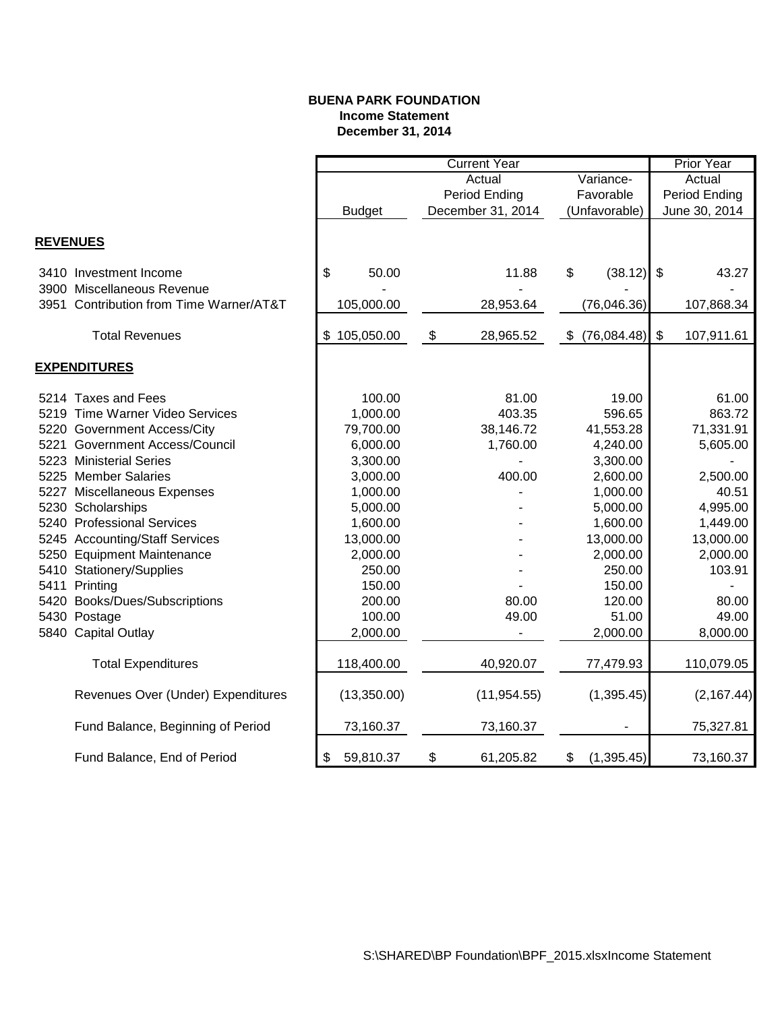#### **BUENA PARK FOUNDATION Income Statement December 31, 2014**

|                                         |                     |               |                            | <b>Current Year</b> |           |               |               | Prior Year    |
|-----------------------------------------|---------------------|---------------|----------------------------|---------------------|-----------|---------------|---------------|---------------|
|                                         | Actual<br>Variance- |               |                            | Actual              |           |               |               |               |
|                                         |                     |               |                            | Period Ending       | Favorable |               | Period Ending |               |
|                                         |                     | <b>Budget</b> |                            | December 31, 2014   |           | (Unfavorable) |               | June 30, 2014 |
|                                         |                     |               |                            |                     |           |               |               |               |
| <b>REVENUES</b>                         |                     |               |                            |                     |           |               |               |               |
| 3410 Investment Income                  | \$                  | 50.00         |                            | 11.88               | \$        | (38.12)       | \$            | 43.27         |
| 3900 Miscellaneous Revenue              |                     |               |                            |                     |           |               |               |               |
| 3951 Contribution from Time Warner/AT&T |                     | 105,000.00    |                            | 28,953.64           |           | (76,046.36)   |               | 107,868.34    |
| <b>Total Revenues</b>                   |                     | \$105,050.00  | $\boldsymbol{\mathsf{\$}}$ | 28,965.52           | S.        | (76,084.48)   | $\sqrt[6]{3}$ | 107,911.61    |
|                                         |                     |               |                            |                     |           |               |               |               |
| <b>EXPENDITURES</b>                     |                     |               |                            |                     |           |               |               |               |
| 5214 Taxes and Fees                     |                     | 100.00        |                            | 81.00               |           | 19.00         |               | 61.00         |
| 5219 Time Warner Video Services         |                     | 1,000.00      |                            | 403.35              |           | 596.65        |               | 863.72        |
| 5220 Government Access/City             |                     | 79,700.00     |                            | 38,146.72           |           | 41,553.28     |               | 71,331.91     |
| 5221 Government Access/Council          |                     | 6,000.00      |                            | 1,760.00            |           | 4,240.00      |               | 5,605.00      |
| 5223 Ministerial Series                 |                     | 3,300.00      |                            |                     |           | 3,300.00      |               |               |
| 5225 Member Salaries                    |                     | 3,000.00      |                            | 400.00              |           | 2,600.00      |               | 2,500.00      |
| 5227 Miscellaneous Expenses             |                     | 1,000.00      |                            |                     |           | 1,000.00      |               | 40.51         |
| 5230 Scholarships                       |                     | 5,000.00      |                            |                     |           | 5,000.00      |               | 4,995.00      |
| 5240 Professional Services              |                     | 1,600.00      |                            |                     |           | 1,600.00      |               | 1,449.00      |
| 5245 Accounting/Staff Services          |                     | 13,000.00     |                            |                     |           | 13,000.00     |               | 13,000.00     |
| 5250 Equipment Maintenance              |                     | 2,000.00      |                            |                     |           | 2,000.00      |               | 2,000.00      |
| 5410 Stationery/Supplies                |                     | 250.00        |                            |                     |           | 250.00        |               | 103.91        |
| 5411 Printing                           |                     | 150.00        |                            |                     |           | 150.00        |               |               |
| 5420 Books/Dues/Subscriptions           |                     | 200.00        |                            | 80.00               |           | 120.00        |               | 80.00         |
| 5430 Postage                            |                     | 100.00        |                            | 49.00               |           | 51.00         |               | 49.00         |
| 5840 Capital Outlay                     |                     | 2,000.00      |                            |                     |           | 2,000.00      |               | 8,000.00      |
| <b>Total Expenditures</b>               |                     | 118,400.00    |                            | 40,920.07           |           | 77,479.93     |               | 110,079.05    |
| Revenues Over (Under) Expenditures      |                     | (13,350.00)   |                            | (11, 954.55)        |           | (1,395.45)    |               | (2, 167.44)   |
| Fund Balance, Beginning of Period       |                     | 73,160.37     |                            | 73,160.37           |           |               |               | 75,327.81     |
| Fund Balance, End of Period             | \$                  | 59,810.37     | \$                         | 61,205.82           | \$        | (1, 395.45)   |               | 73,160.37     |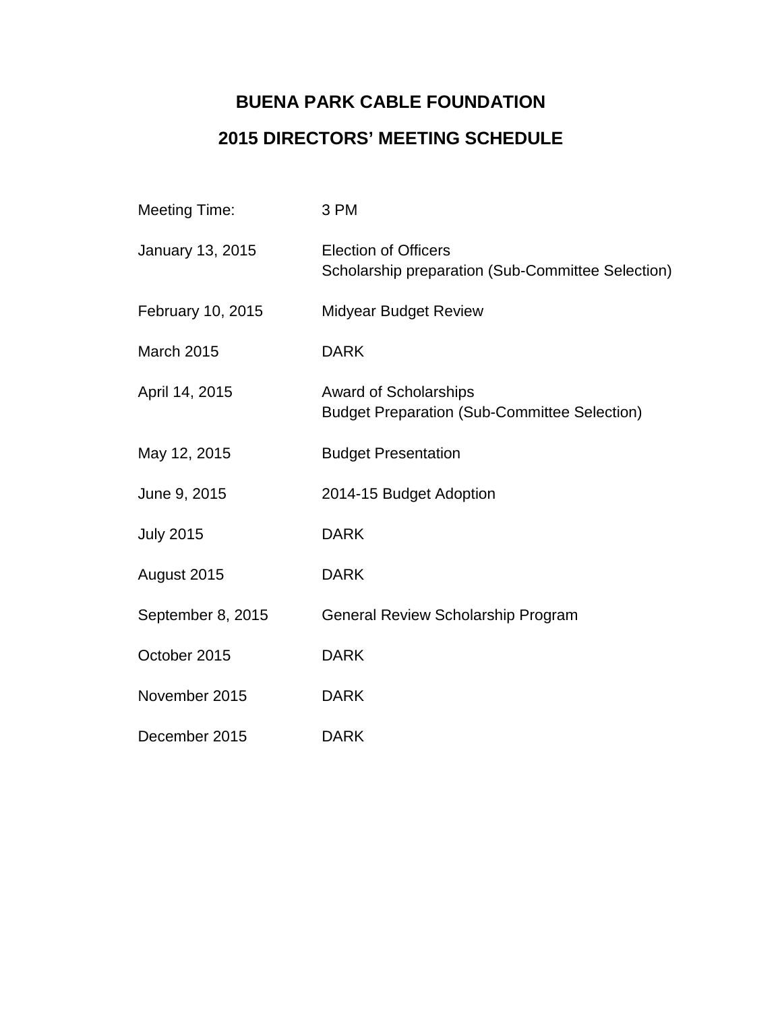# **BUENA PARK CABLE FOUNDATION 2015 DIRECTORS' MEETING SCHEDULE**

| <b>Meeting Time:</b> | 3 PM                                                                                |
|----------------------|-------------------------------------------------------------------------------------|
| January 13, 2015     | <b>Election of Officers</b><br>Scholarship preparation (Sub-Committee Selection)    |
| February 10, 2015    | <b>Midyear Budget Review</b>                                                        |
| March 2015           | <b>DARK</b>                                                                         |
| April 14, 2015       | <b>Award of Scholarships</b><br><b>Budget Preparation (Sub-Committee Selection)</b> |
| May 12, 2015         | <b>Budget Presentation</b>                                                          |
| June 9, 2015         | 2014-15 Budget Adoption                                                             |
| <b>July 2015</b>     | <b>DARK</b>                                                                         |
| August 2015          | <b>DARK</b>                                                                         |
| September 8, 2015    | General Review Scholarship Program                                                  |
| October 2015         | <b>DARK</b>                                                                         |
| November 2015        | <b>DARK</b>                                                                         |
| December 2015        | <b>DARK</b>                                                                         |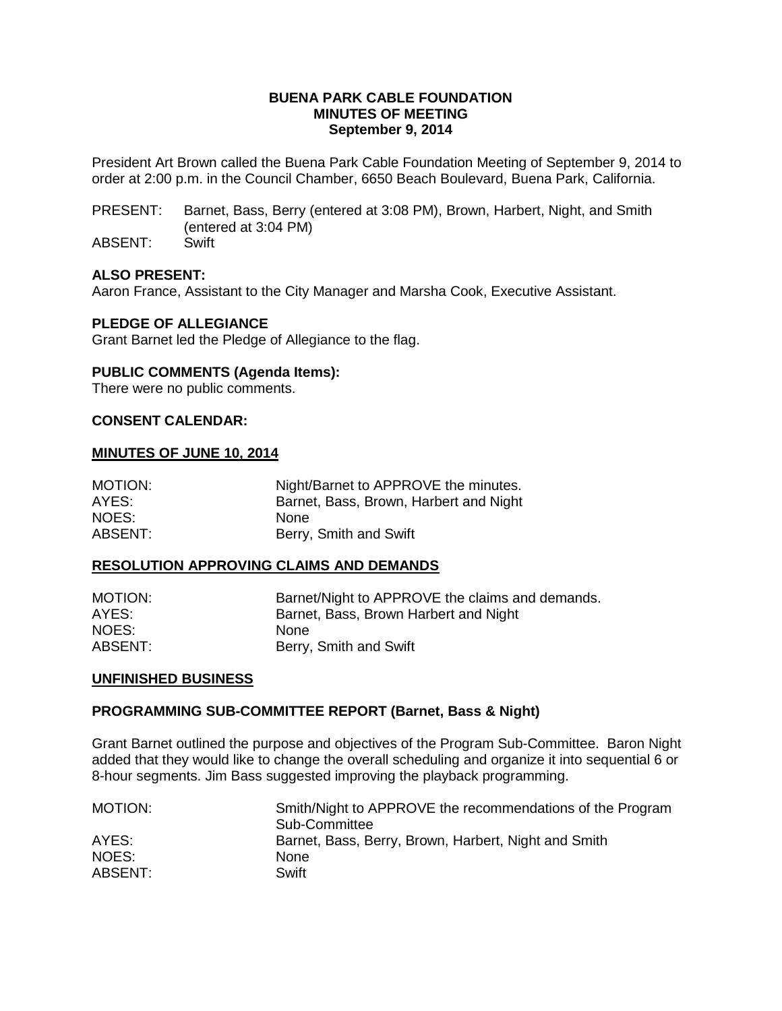#### **BUENA PARK CABLE FOUNDATION MINUTES OF MEETING September 9, 2014**

President Art Brown called the Buena Park Cable Foundation Meeting of September 9, 2014 to order at 2:00 p.m. in the Council Chamber, 6650 Beach Boulevard, Buena Park, California.

PRESENT: Barnet, Bass, Berry (entered at 3:08 PM), Brown, Harbert, Night, and Smith (entered at 3:04 PM)

ABSENT: Swift

#### **ALSO PRESENT:**

Aaron France, Assistant to the City Manager and Marsha Cook, Executive Assistant.

#### **PLEDGE OF ALLEGIANCE**

Grant Barnet led the Pledge of Allegiance to the flag.

#### **PUBLIC COMMENTS (Agenda Items):**

There were no public comments.

#### **CONSENT CALENDAR:**

#### **MINUTES OF JUNE 10, 2014**

| MOTION: | Night/Barnet to APPROVE the minutes.   |
|---------|----------------------------------------|
| AYES:   | Barnet, Bass, Brown, Harbert and Night |
| NOES:   | <b>None</b>                            |
| ABSENT: | Berry, Smith and Swift                 |

#### **RESOLUTION APPROVING CLAIMS AND DEMANDS**

| MOTION: | Barnet/Night to APPROVE the claims and demands. |
|---------|-------------------------------------------------|
| AYES:   | Barnet, Bass, Brown Harbert and Night           |
| NOES:   | <b>None</b>                                     |
| ABSENT: | Berry, Smith and Swift                          |

#### **UNFINISHED BUSINESS**

#### **PROGRAMMING SUB-COMMITTEE REPORT (Barnet, Bass & Night)**

Grant Barnet outlined the purpose and objectives of the Program Sub-Committee. Baron Night added that they would like to change the overall scheduling and organize it into sequential 6 or 8-hour segments. Jim Bass suggested improving the playback programming.

| MOTION: | Smith/Night to APPROVE the recommendations of the Program<br>Sub-Committee |
|---------|----------------------------------------------------------------------------|
| AYES:   | Barnet, Bass, Berry, Brown, Harbert, Night and Smith                       |
| NOES:   | <b>None</b>                                                                |
| ABSENT: | Swift                                                                      |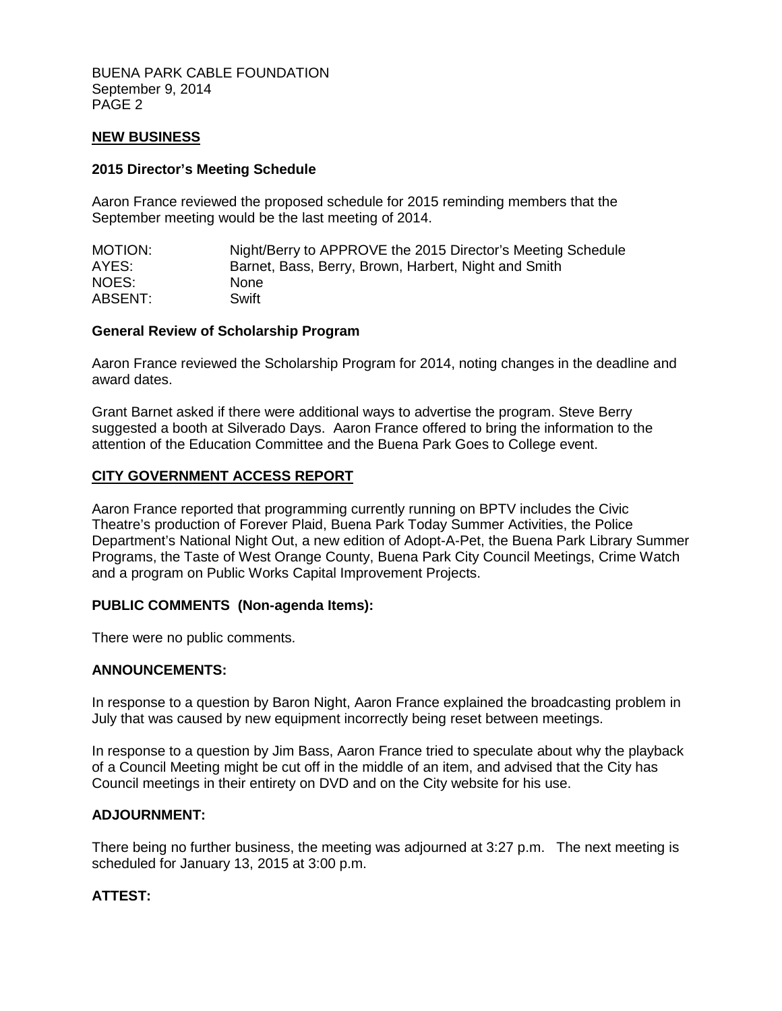BUENA PARK CABLE FOUNDATION September 9, 2014 PAGE 2

#### **NEW BUSINESS**

#### **2015 Director's Meeting Schedule**

Aaron France reviewed the proposed schedule for 2015 reminding members that the September meeting would be the last meeting of 2014.

| MOTION: | Night/Berry to APPROVE the 2015 Director's Meeting Schedule |
|---------|-------------------------------------------------------------|
| AYES:   | Barnet, Bass, Berry, Brown, Harbert, Night and Smith        |
| NOES:   | <b>None</b>                                                 |
| ABSENT: | Swift                                                       |

#### **General Review of Scholarship Program**

Aaron France reviewed the Scholarship Program for 2014, noting changes in the deadline and award dates.

Grant Barnet asked if there were additional ways to advertise the program. Steve Berry suggested a booth at Silverado Days. Aaron France offered to bring the information to the attention of the Education Committee and the Buena Park Goes to College event.

#### **CITY GOVERNMENT ACCESS REPORT**

Aaron France reported that programming currently running on BPTV includes the Civic Theatre's production of Forever Plaid, Buena Park Today Summer Activities, the Police Department's National Night Out, a new edition of Adopt-A-Pet, the Buena Park Library Summer Programs, the Taste of West Orange County, Buena Park City Council Meetings, Crime Watch and a program on Public Works Capital Improvement Projects.

#### **PUBLIC COMMENTS (Non-agenda Items):**

There were no public comments.

#### **ANNOUNCEMENTS:**

In response to a question by Baron Night, Aaron France explained the broadcasting problem in July that was caused by new equipment incorrectly being reset between meetings.

In response to a question by Jim Bass, Aaron France tried to speculate about why the playback of a Council Meeting might be cut off in the middle of an item, and advised that the City has Council meetings in their entirety on DVD and on the City website for his use.

#### **ADJOURNMENT:**

There being no further business, the meeting was adjourned at 3:27 p.m. The next meeting is scheduled for January 13, 2015 at 3:00 p.m.

#### **ATTEST:**